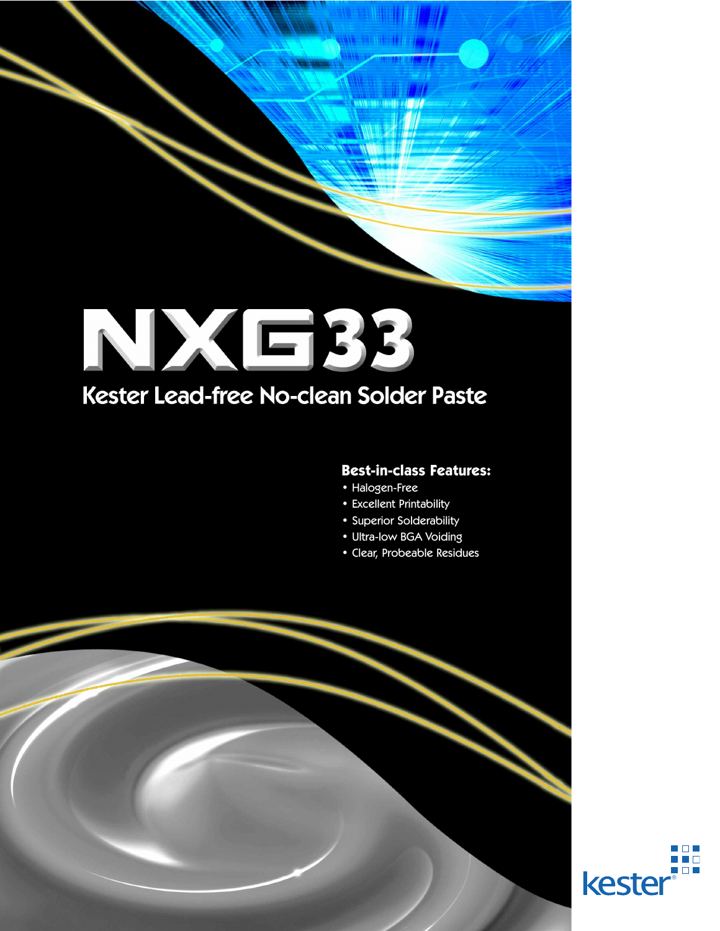## LA ECC Kester Lead-free No-clean Solder Paste

## **Best-in-class Features:**

- Halogen-Free
- Excellent Printability
- Superior Solderability
- Ultra-low BGA Voiding
- Clear, Probeable Residues

®

a propinsi  $\Box$   $\Box$